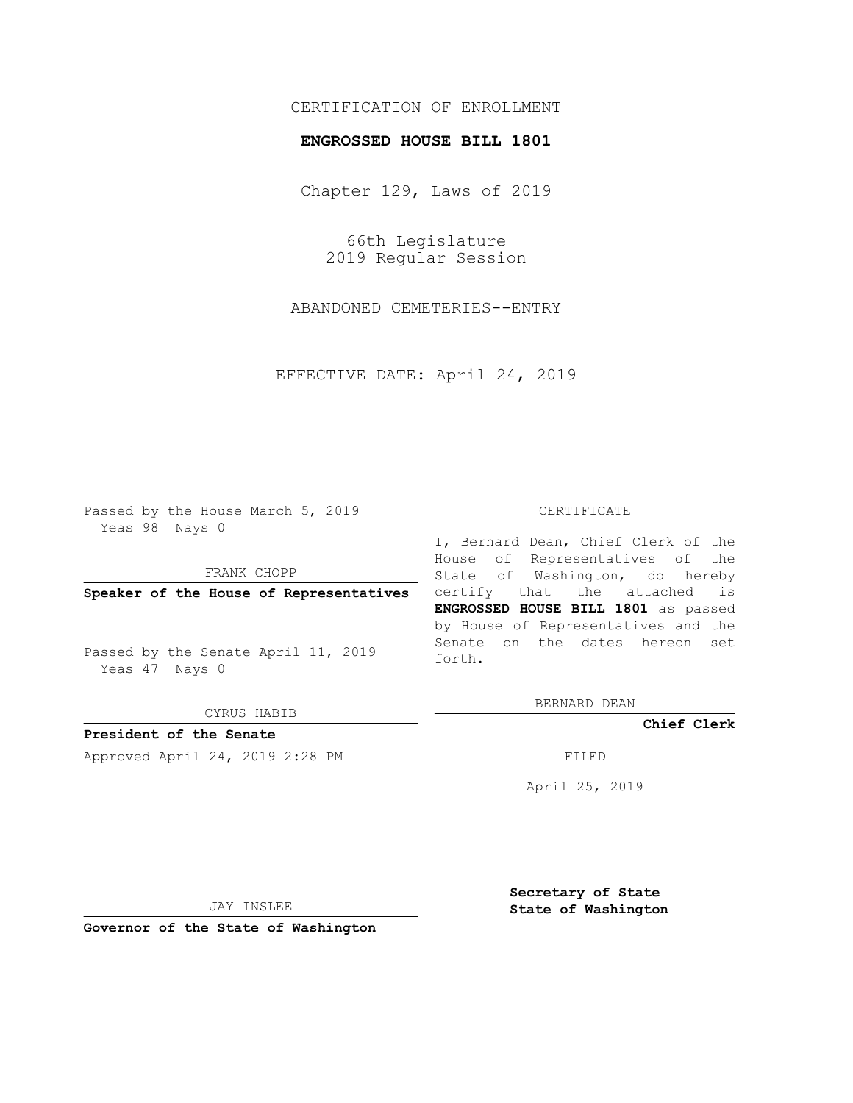## CERTIFICATION OF ENROLLMENT

## **ENGROSSED HOUSE BILL 1801**

Chapter 129, Laws of 2019

66th Legislature 2019 Regular Session

ABANDONED CEMETERIES--ENTRY

EFFECTIVE DATE: April 24, 2019

Passed by the House March 5, 2019 Yeas 98 Nays 0

FRANK CHOPP

**Speaker of the House of Representatives**

Passed by the Senate April 11, 2019 Yeas 47 Nays 0

CYRUS HABIB

**President of the Senate**

Approved April 24, 2019 2:28 PM FILED

## CERTIFICATE

I, Bernard Dean, Chief Clerk of the House of Representatives of the State of Washington, do hereby certify that the attached is **ENGROSSED HOUSE BILL 1801** as passed by House of Representatives and the Senate on the dates hereon set forth.

BERNARD DEAN

**Chief Clerk**

April 25, 2019

JAY INSLEE

**Governor of the State of Washington**

**Secretary of State State of Washington**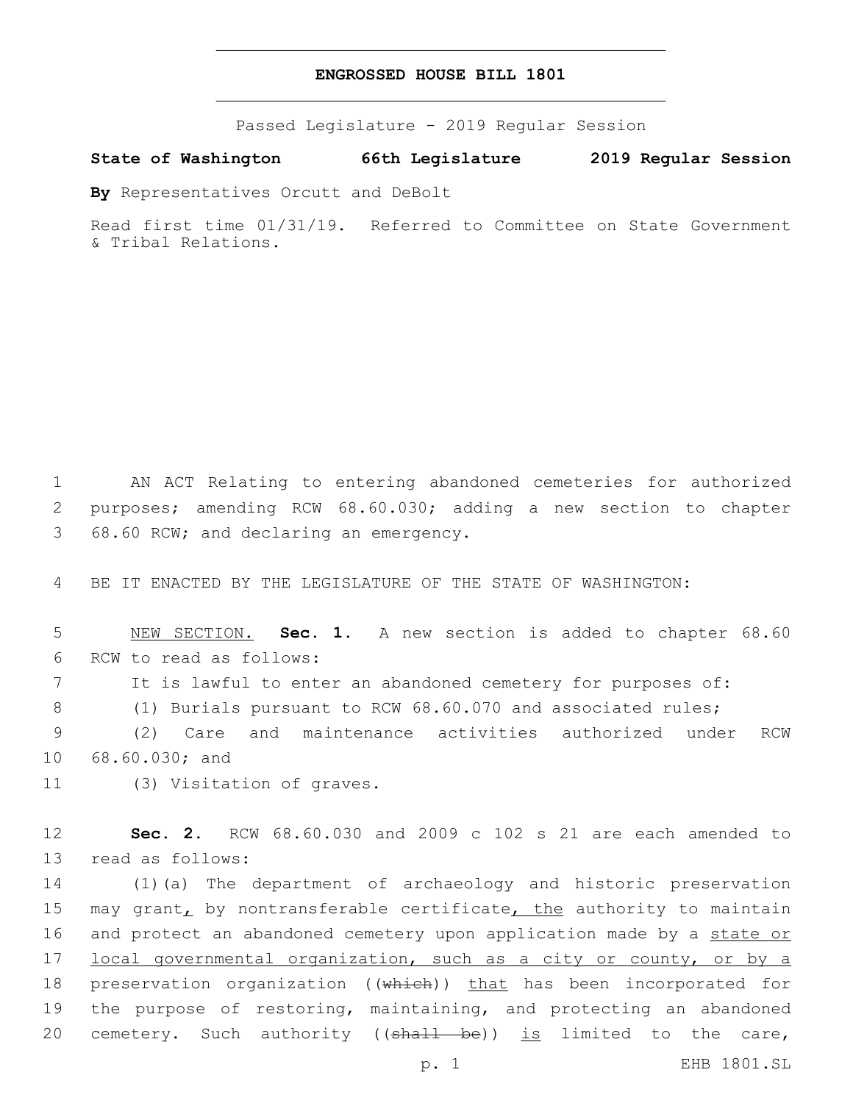## **ENGROSSED HOUSE BILL 1801**

Passed Legislature - 2019 Regular Session

**State of Washington 66th Legislature 2019 Regular Session**

**By** Representatives Orcutt and DeBolt

Read first time 01/31/19. Referred to Committee on State Government & Tribal Relations.

1 AN ACT Relating to entering abandoned cemeteries for authorized 2 purposes; amending RCW 68.60.030; adding a new section to chapter 3 68.60 RCW; and declaring an emergency.

4 BE IT ENACTED BY THE LEGISLATURE OF THE STATE OF WASHINGTON:

5 NEW SECTION. **Sec. 1.** A new section is added to chapter 68.60 6 RCW to read as follows:

7 It is lawful to enter an abandoned cemetery for purposes of:

8 (1) Burials pursuant to RCW 68.60.070 and associated rules;

9 (2) Care and maintenance activities authorized under RCW 10 68.60.030; and

11 (3) Visitation of graves.

12 **Sec. 2.** RCW 68.60.030 and 2009 c 102 s 21 are each amended to 13 read as follows:

14 (1)(a) The department of archaeology and historic preservation 15 may grant, by nontransferable certificate, the authority to maintain 16 and protect an abandoned cemetery upon application made by a state or 17 local governmental organization, such as a city or county, or by a 18 preservation organization ((which)) that has been incorporated for 19 the purpose of restoring, maintaining, and protecting an abandoned 20 cemetery. Such authority ((shall be)) is limited to the care,

p. 1 EHB 1801.SL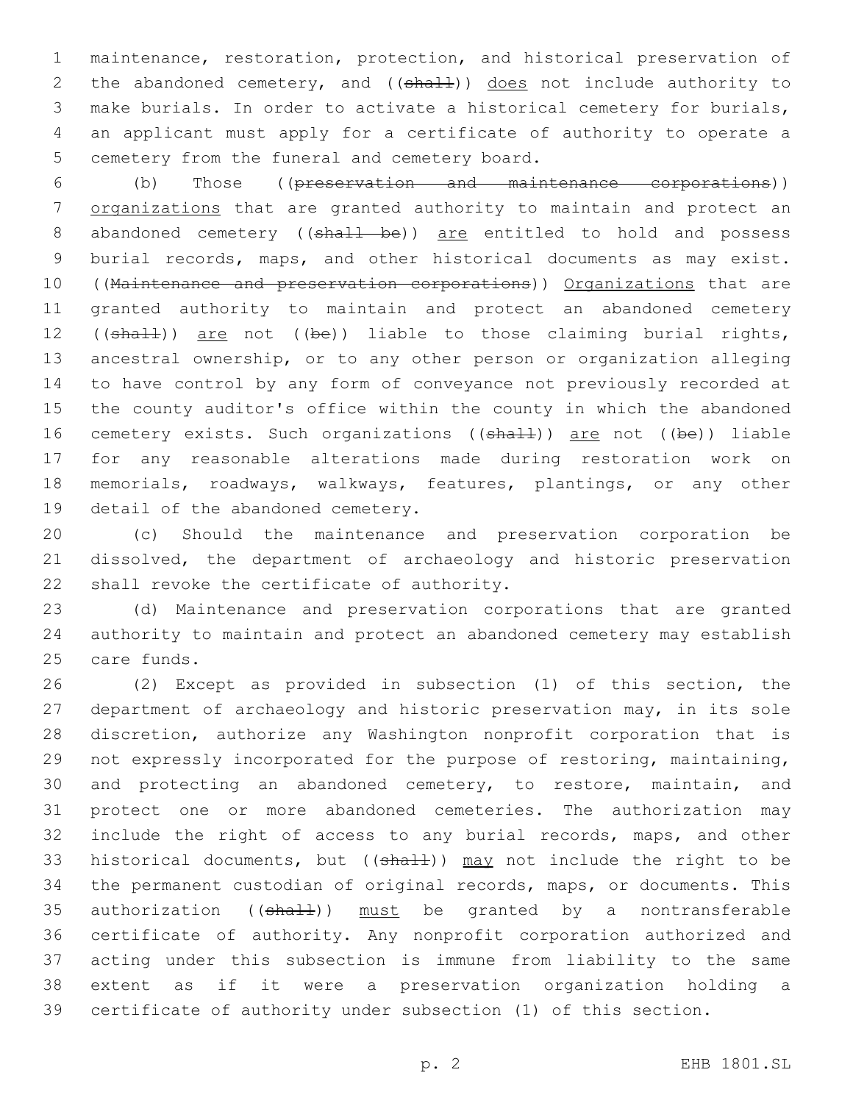maintenance, restoration, protection, and historical preservation of 2 the abandoned cemetery, and ((shall)) does not include authority to make burials. In order to activate a historical cemetery for burials, an applicant must apply for a certificate of authority to operate a 5 cemetery from the funeral and cemetery board.

 (b) Those ((preservation and maintenance corporations)) 7 organizations that are granted authority to maintain and protect an 8 abandoned cemetery ((shall be)) are entitled to hold and possess burial records, maps, and other historical documents as may exist. 10 ((Maintenance and preservation corporations)) Organizations that are granted authority to maintain and protect an abandoned cemetery 12 ((shall)) are not ((be)) liable to those claiming burial rights, ancestral ownership, or to any other person or organization alleging to have control by any form of conveyance not previously recorded at the county auditor's office within the county in which the abandoned 16 cemetery exists. Such organizations ((shall)) are not ((be)) liable for any reasonable alterations made during restoration work on memorials, roadways, walkways, features, plantings, or any other 19 detail of the abandoned cemetery.

 (c) Should the maintenance and preservation corporation be dissolved, the department of archaeology and historic preservation 22 shall revoke the certificate of authority.

 (d) Maintenance and preservation corporations that are granted authority to maintain and protect an abandoned cemetery may establish 25 care funds.

 (2) Except as provided in subsection (1) of this section, the department of archaeology and historic preservation may, in its sole discretion, authorize any Washington nonprofit corporation that is not expressly incorporated for the purpose of restoring, maintaining, 30 and protecting an abandoned cemetery, to restore, maintain, and protect one or more abandoned cemeteries. The authorization may include the right of access to any burial records, maps, and other 33 historical documents, but ( $(\text{shall})$ ) may not include the right to be the permanent custodian of original records, maps, or documents. This 35 authorization ((shall)) must be granted by a nontransferable certificate of authority. Any nonprofit corporation authorized and acting under this subsection is immune from liability to the same extent as if it were a preservation organization holding a certificate of authority under subsection (1) of this section.